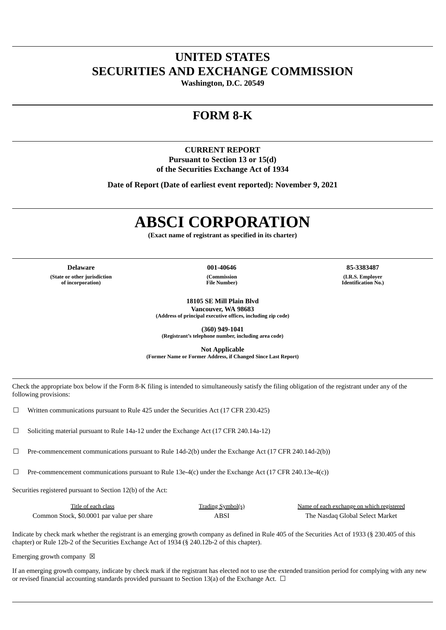# **UNITED STATES SECURITIES AND EXCHANGE COMMISSION**

**Washington, D.C. 20549**

# **FORM 8-K**

# **CURRENT REPORT Pursuant to Section 13 or 15(d) of the Securities Exchange Act of 1934**

**Date of Report (Date of earliest event reported): November 9, 2021**

# **ABSCI CORPORATION**

**(Exact name of registrant as specified in its charter)**

**Delaware 001-40646 85-3383487 (State or other jurisdiction of incorporation)**

**(Commission File Number)**

**(I.R.S. Employer Identification No.)**

**18105 SE Mill Plain Blvd Vancouver, WA 98683**

**(Address of principal executive offices, including zip code)**

**(360) 949-1041 (Registrant's telephone number, including area code)**

**Not Applicable**

**(Former Name or Former Address, if Changed Since Last Report)**

Check the appropriate box below if the Form 8-K filing is intended to simultaneously satisfy the filing obligation of the registrant under any of the following provisions:

 $\Box$  Written communications pursuant to Rule 425 under the Securities Act (17 CFR 230.425)

 $\Box$  Soliciting material pursuant to Rule 14a-12 under the Exchange Act (17 CFR 240.14a-12)

 $\Box$  Pre-commencement communications pursuant to Rule 14d-2(b) under the Exchange Act (17 CFR 240.14d-2(b))

 $\Box$  Pre-commencement communications pursuant to Rule 13e-4(c) under the Exchange Act (17 CFR 240.13e-4(c))

Securities registered pursuant to Section 12(b) of the Act:

| Title of each class                        | Trading Symbol(s) | Name of each exchange on which registered |
|--------------------------------------------|-------------------|-------------------------------------------|
| Common Stock, \$0,0001 par value per share | ABSI              | The Nasdag Global Select Market           |

Indicate by check mark whether the registrant is an emerging growth company as defined in Rule 405 of the Securities Act of 1933 (§ 230.405 of this chapter) or Rule 12b-2 of the Securities Exchange Act of 1934 (§ 240.12b-2 of this chapter).

Emerging growth company  $\boxtimes$ 

If an emerging growth company, indicate by check mark if the registrant has elected not to use the extended transition period for complying with any new or revised financial accounting standards provided pursuant to Section 13(a) of the Exchange Act.  $\Box$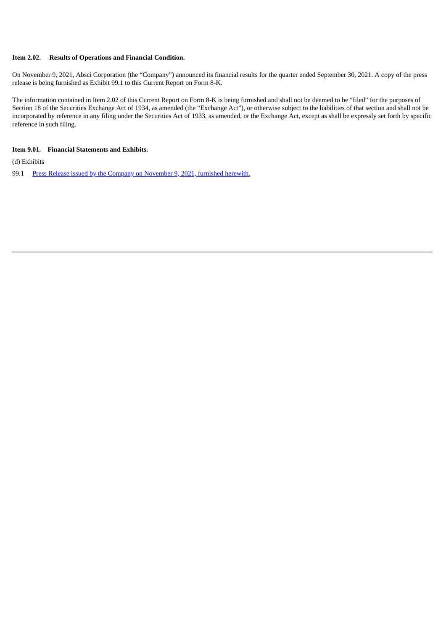#### **Item 2.02. Results of Operations and Financial Condition.**

On November 9, 2021, Absci Corporation (the "Company") announced its financial results for the quarter ended September 30, 2021. A copy of the press release is being furnished as Exhibit 99.1 to this Current Report on Form 8-K.

The information contained in Item 2.02 of this Current Report on Form 8-K is being furnished and shall not be deemed to be "filed" for the purposes of Section 18 of the Securities Exchange Act of 1934, as amended (the "Exchange Act"), or otherwise subject to the liabilities of that section and shall not be incorporated by reference in any filing under the Securities Act of 1933, as amended, or the Exchange Act, except as shall be expressly set forth by specific reference in such filing.

#### **Item 9.01. Financial Statements and Exhibits.**

(d) Exhibits

99.1 Press Release issued by the Company on [November](#page-4-0) 9, 2021, furnished herewith.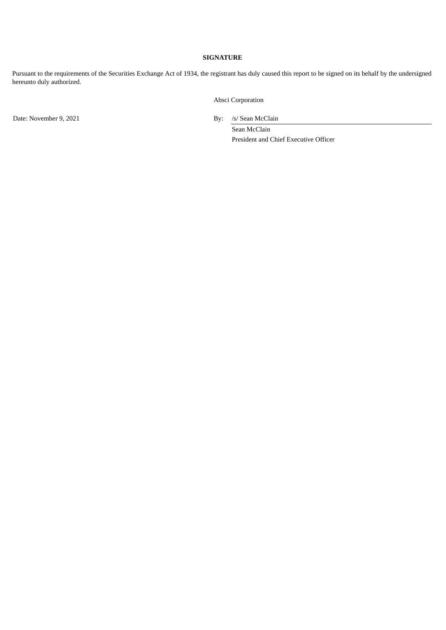### **SIGNATURE**

Pursuant to the requirements of the Securities Exchange Act of 1934, the registrant has duly caused this report to be signed on its behalf by the undersigned hereunto duly authorized.

Absci Corporation

Date: November 9, 2021 By: /s/ Sean McClain

Sean McClain President and Chief Executive Officer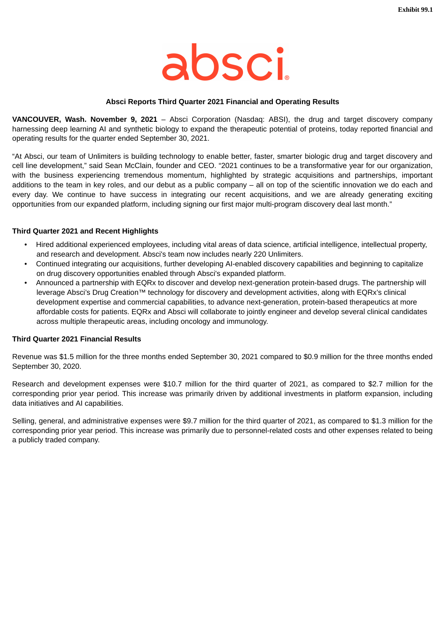

### **Absci Reports Third Quarter 2021 Financial and Operating Results**

<span id="page-4-0"></span>**VANCOUVER, Wash. November 9, 2021** – Absci Corporation (Nasdaq: ABSI), the drug and target discovery company harnessing deep learning AI and synthetic biology to expand the therapeutic potential of proteins, today reported financial and operating results for the quarter ended September 30, 2021.

"At Absci, our team of Unlimiters is building technology to enable better, faster, smarter biologic drug and target discovery and cell line development," said Sean McClain, founder and CEO. "2021 continues to be a transformative year for our organization, with the business experiencing tremendous momentum, highlighted by strategic acquisitions and partnerships, important additions to the team in key roles, and our debut as a public company – all on top of the scientific innovation we do each and every day. We continue to have success in integrating our recent acquisitions, and we are already generating exciting opportunities from our expanded platform, including signing our first major multi-program discovery deal last month."

#### **Third Quarter 2021 and Recent Highlights**

- Hired additional experienced employees, including vital areas of data science, artificial intelligence, intellectual property, and research and development. Absci's team now includes nearly 220 Unlimiters.
- Continued integrating our acquisitions, further developing AI-enabled discovery capabilities and beginning to capitalize on drug discovery opportunities enabled through Absci's expanded platform.
- Announced a partnership with EQRx to discover and develop next-generation protein-based drugs. The partnership will leverage Absci's Drug Creation™ technology for discovery and development activities, along with EQRx's clinical development expertise and commercial capabilities, to advance next-generation, protein-based therapeutics at more affordable costs for patients. EQRx and Absci will collaborate to jointly engineer and develop several clinical candidates across multiple therapeutic areas, including oncology and immunology.

## **Third Quarter 2021 Financial Results**

Revenue was \$1.5 million for the three months ended September 30, 2021 compared to \$0.9 million for the three months ended September 30, 2020.

Research and development expenses were \$10.7 million for the third quarter of 2021, as compared to \$2.7 million for the corresponding prior year period. This increase was primarily driven by additional investments in platform expansion, including data initiatives and AI capabilities.

Selling, general, and administrative expenses were \$9.7 million for the third quarter of 2021, as compared to \$1.3 million for the corresponding prior year period. This increase was primarily due to personnel-related costs and other expenses related to being a publicly traded company.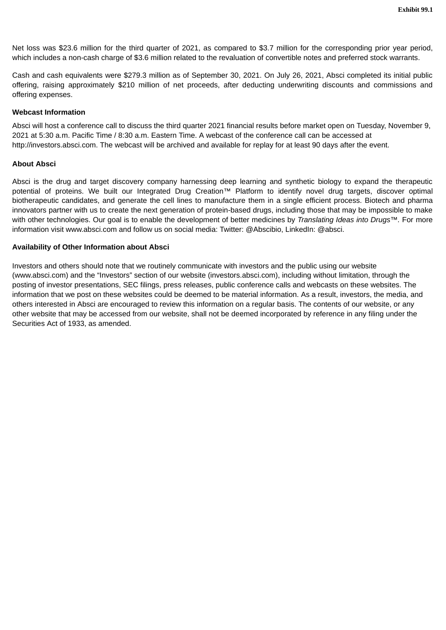Net loss was \$23.6 million for the third quarter of 2021, as compared to \$3.7 million for the corresponding prior year period, which includes a non-cash charge of \$3.6 million related to the revaluation of convertible notes and preferred stock warrants.

Cash and cash equivalents were \$279.3 million as of September 30, 2021. On July 26, 2021, Absci completed its initial public offering, raising approximately \$210 million of net proceeds, after deducting underwriting discounts and commissions and offering expenses.

## **Webcast Information**

Absci will host a conference call to discuss the third quarter 2021 financial results before market open on Tuesday, November 9, 2021 at 5:30 a.m. Pacific Time / 8:30 a.m. Eastern Time. A webcast of the conference call can be accessed at http://investors.absci.com. The webcast will be archived and available for replay for at least 90 days after the event.

# **About Absci**

Absci is the drug and target discovery company harnessing deep learning and synthetic biology to expand the therapeutic potential of proteins. We built our Integrated Drug Creation™ Platform to identify novel drug targets, discover optimal biotherapeutic candidates, and generate the cell lines to manufacture them in a single efficient process. Biotech and pharma innovators partner with us to create the next generation of protein-based drugs, including those that may be impossible to make with other technologies. Our goal is to enable the development of better medicines by *Translating Ideas into Drugs™.* For more information visit www.absci.com and follow us on social media: Twitter: @Abscibio, LinkedIn: @absci.

# **Availability of Other Information about Absci**

Investors and others should note that we routinely communicate with investors and the public using our website (www.absci.com) and the "Investors" section of our website (investors.absci.com), including without limitation, through the posting of investor presentations, SEC filings, press releases, public conference calls and webcasts on these websites. The information that we post on these websites could be deemed to be material information. As a result, investors, the media, and others interested in Absci are encouraged to review this information on a regular basis. The contents of our website, or any other website that may be accessed from our website, shall not be deemed incorporated by reference in any filing under the Securities Act of 1933, as amended.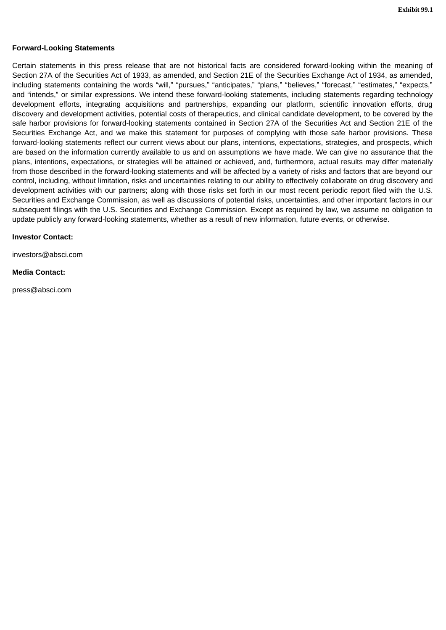### **Forward-Looking Statements**

Certain statements in this press release that are not historical facts are considered forward-looking within the meaning of Section 27A of the Securities Act of 1933, as amended, and Section 21E of the Securities Exchange Act of 1934, as amended, including statements containing the words "will," "pursues," "anticipates," "plans," "believes," "forecast," "estimates," "expects," and "intends," or similar expressions. We intend these forward-looking statements, including statements regarding technology development efforts, integrating acquisitions and partnerships, expanding our platform, scientific innovation efforts, drug discovery and development activities, potential costs of therapeutics, and clinical candidate development, to be covered by the safe harbor provisions for forward-looking statements contained in Section 27A of the Securities Act and Section 21E of the Securities Exchange Act, and we make this statement for purposes of complying with those safe harbor provisions. These forward-looking statements reflect our current views about our plans, intentions, expectations, strategies, and prospects, which are based on the information currently available to us and on assumptions we have made. We can give no assurance that the plans, intentions, expectations, or strategies will be attained or achieved, and, furthermore, actual results may differ materially from those described in the forward-looking statements and will be affected by a variety of risks and factors that are beyond our control, including, without limitation, risks and uncertainties relating to our ability to effectively collaborate on drug discovery and development activities with our partners; along with those risks set forth in our most recent periodic report filed with the U.S. Securities and Exchange Commission, as well as discussions of potential risks, uncertainties, and other important factors in our subsequent filings with the U.S. Securities and Exchange Commission. Except as required by law, we assume no obligation to update publicly any forward-looking statements, whether as a result of new information, future events, or otherwise.

#### **Investor Contact:**

investors@absci.com

#### **Media Contact:**

press@absci.com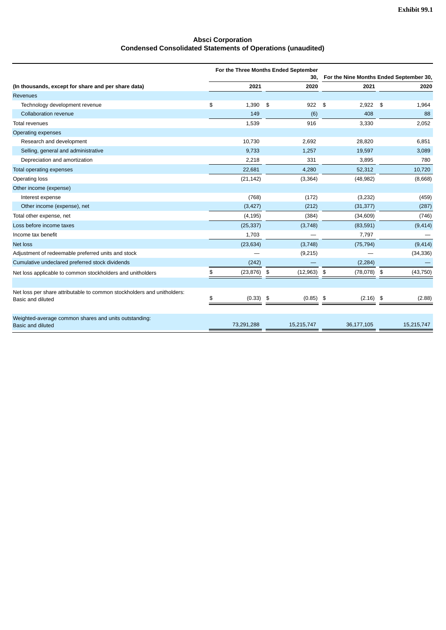#### **Absci Corporation Condensed Consolidated Statements of Operations (unaudited)**

|                                                                                              |                 | For the Three Months Ended September |                |                                         |
|----------------------------------------------------------------------------------------------|-----------------|--------------------------------------|----------------|-----------------------------------------|
|                                                                                              |                 | 30,                                  |                | For the Nine Months Ended September 30, |
| (In thousands, except for share and per share data)                                          | 2021            | 2020                                 | 2021           | 2020                                    |
| <b>Revenues</b>                                                                              |                 |                                      |                |                                         |
| Technology development revenue                                                               | \$<br>1,390     | 922<br>\$                            | \$<br>2,922    | 1,964<br>\$                             |
| Collaboration revenue                                                                        | 149             | (6)                                  | 408            | 88                                      |
| <b>Total revenues</b>                                                                        | 1,539           | 916                                  | 3,330          | 2,052                                   |
| Operating expenses                                                                           |                 |                                      |                |                                         |
| Research and development                                                                     | 10,730          | 2,692                                | 28,820         | 6,851                                   |
| Selling, general and administrative                                                          | 9,733           | 1,257                                | 19,597         | 3,089                                   |
| Depreciation and amortization                                                                | 2,218           | 331                                  | 3,895          | 780                                     |
| Total operating expenses                                                                     | 22,681          | 4,280                                | 52,312         | 10,720                                  |
| Operating loss                                                                               | (21, 142)       | (3, 364)                             | (48, 982)      | (8,668)                                 |
| Other income (expense)                                                                       |                 |                                      |                |                                         |
| Interest expense                                                                             | (768)           | (172)                                | (3,232)        | (459)                                   |
| Other income (expense), net                                                                  | (3, 427)        | (212)                                | (31, 377)      | (287)                                   |
| Total other expense, net                                                                     | (4, 195)        | (384)                                | (34, 609)      | (746)                                   |
| Loss before income taxes                                                                     | (25, 337)       | (3,748)                              | (83, 591)      | (9, 414)                                |
| Income tax benefit                                                                           | 1,703           |                                      | 7,797          |                                         |
| <b>Net loss</b>                                                                              | (23, 634)       | (3,748)                              | (75, 794)      | (9, 414)                                |
| Adjustment of redeemable preferred units and stock                                           |                 | (9,215)                              |                | (34, 336)                               |
| Cumulative undeclared preferred stock dividends                                              | (242)           |                                      | (2, 284)       |                                         |
| Net loss applicable to common stockholders and unitholders                                   | \$<br>(23, 876) | \$<br>(12, 963)                      | (78,078)<br>\$ | \$<br>(43, 750)                         |
|                                                                                              |                 |                                      |                |                                         |
| Net loss per share attributable to common stockholders and unitholders:<br>Basic and diluted | \$<br>(0.33)    | \$<br>(0.85)                         | \$<br>(2.16)   | \$<br>(2.88)                            |
|                                                                                              |                 |                                      |                |                                         |
| Weighted-average common shares and units outstanding:<br><b>Basic and diluted</b>            | 73,291,288      | 15,215,747                           | 36,177,105     | 15,215,747                              |